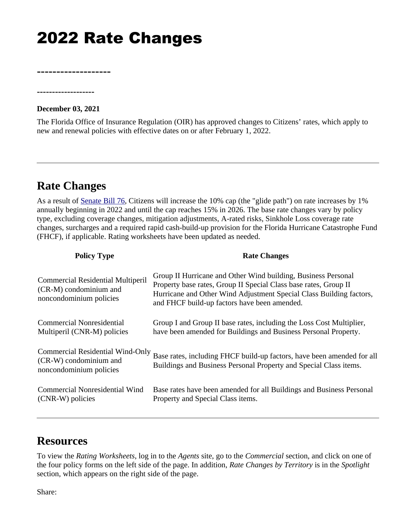## 2022 Rate Changes

**-------------------**

**December 03, 2021** 

**-------------------**

The Florida Office of Insurance Regulation (OIR) has approved changes to Citizens' rates, which apply to new and renewal policies with effective dates on or after February 1, 2022.

## **Rate Changes**

As a result of [Senate Bill 76](https://www.flsenate.gov/Committees/BillSummaries/2021/html/2528), Citizens will increase the 10% cap (the "glide path") on rate increases by 1% annually beginning in 2022 and until the cap reaches 15% in 2026. The base rate changes vary by policy type, excluding coverage changes, mitigation adjustments, A-rated risks, Sinkhole Loss coverage rate changes, surcharges and a required rapid cash-build-up provision for the Florida Hurricane Catastrophe Fund (FHCF), if applicable. Rating worksheets have been updated as needed.

| <b>Policy Type</b>                                                                     | <b>Rate Changes</b>                                                                                                                                                                                                                                      |
|----------------------------------------------------------------------------------------|----------------------------------------------------------------------------------------------------------------------------------------------------------------------------------------------------------------------------------------------------------|
| Commercial Residential Multiperil<br>(CR-M) condominium and<br>noncondominium policies | Group II Hurricane and Other Wind building, Business Personal<br>Property base rates, Group II Special Class base rates, Group II<br>Hurricane and Other Wind Adjustment Special Class Building factors,<br>and FHCF build-up factors have been amended. |
| Commercial Nonresidential<br>Multiperil (CNR-M) policies                               | Group I and Group II base rates, including the Loss Cost Multiplier,<br>have been amended for Buildings and Business Personal Property.                                                                                                                  |
| Commercial Residential Wind-Only<br>(CR-W) condominium and<br>noncondominium policies  | Base rates, including FHCF build-up factors, have been amended for all<br>Buildings and Business Personal Property and Special Class items.                                                                                                              |
| Commercial Nonresidential Wind<br>(CNR-W) policies                                     | Base rates have been amended for all Buildings and Business Personal<br>Property and Special Class items.                                                                                                                                                |

## **Resources**

To view the *Rating Worksheets*, log in to the *Agents* site, go to the *Commercial* section, and click on one of the four policy forms on the left side of the page. In addition, *Rate Changes by Territory* is in the *Spotlight*  section, which appears on the right side of the page.

Share: